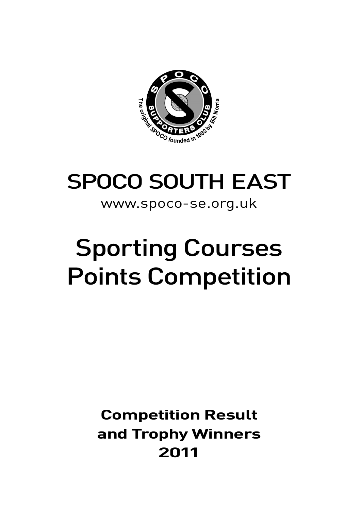

# SPOCO SOUTH EAST

## www.spoco-se.org.uk

## Sporting Courses Points Competition

## **Competition Result and Trophy Winners 2011**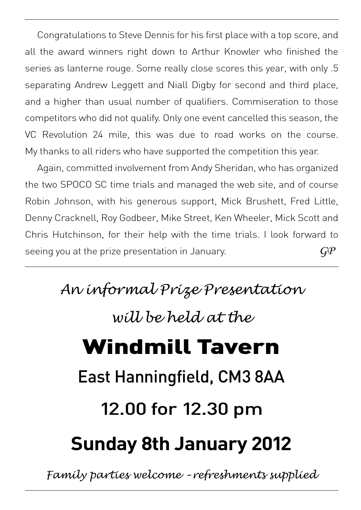Congratulations to Steve Dennis for his first place with a top score, and all the award winners right down to Arthur Knowler who finished the series as lanterne rouge. Some really close scores this year, with only .5 separating Andrew Leggett and Niall Digby for second and third place, and a higher than usual number of qualifiers. Commiseration to those competitors who did not qualify. Only one event cancelled this season, the VC Revolution 24 mile, this was due to road works on the course. My thanks to all riders who have supported the competition this year.

Again, committed involvement from Andy Sheridan, who has organized the two SPOCO SC time trials and managed the web site, and of course Robin Johnson, with his generous support, Mick Brushett, Fred Little, Denny Cracknell, Roy Godbeer, Mike Street, Ken Wheeler, Mick Scott and Chris Hutchinson, for their help with the time trials. I look forward to seeing you at the prize presentation in January.  $G\!P$ 

> *An informal Prize Presentation will be held at the* Windmill Tavern East Hanningfield, CM3 8AA 12.00 for 12.30 pm **Sunday 8th January 2012**

*Family parties welcome – refreshments supplied*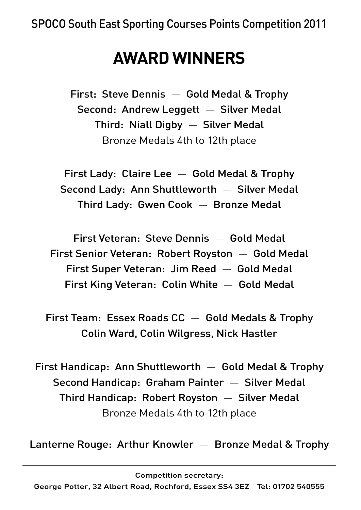## **AWARD WINNERS**

First: Steve Dennis — Gold Medal & Trophy Second: Andrew Leggett — Silver Medal Third: Niall Digby — Silver Medal Bronze Medals 4th to 12th place

First Lady: Claire Lee — Gold Medal & Trophy Second Lady: Ann Shuttleworth — Silver Medal Third Lady: Gwen Cook — Bronze Medal

First Veteran: Steve Dennis — Gold Medal First Senior Veteran: Robert Royston — Gold Medal First Super Veteran: Jim Reed — Gold Medal First King Veteran: Colin White — Gold Medal

First Team: Essex Roads  $CC -$  Gold Medals & Trophy Colin Ward, Colin Wilgress, Nick Hastler

First Handicap: Ann Shuttleworth  $-$  Gold Medal & Trophy Second Handicap: Graham Painter — Silver Medal Third Handicap: Robert Royston — Silver Medal Bronze Medals 4th to 12th place

Lanterne Rouge: Arthur Knowler — Bronze Medal & Trophy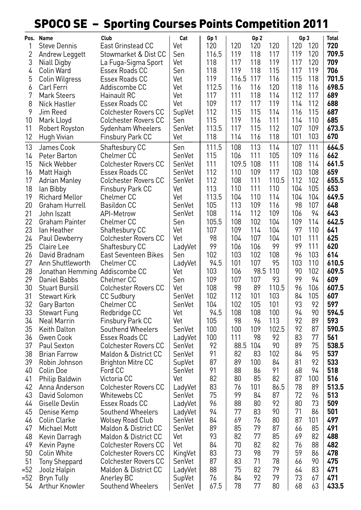## SPOCO SE – Sporting Courses Points Competition 2011

|     | Pos. Name                      | Club                        | Cat     | Gp 1  |           | Gp <sub>2</sub> |       | Gp 3 |     | <b>Total</b> |
|-----|--------------------------------|-----------------------------|---------|-------|-----------|-----------------|-------|------|-----|--------------|
| 1   | <b>Steve Dennis</b>            | East Grinstead CC           | Vet     | 120   | 120       | 120             | 120   | 120  | 120 | 720          |
| 2   | Andrew Leggett                 | Stowmarket & Dist CC        | Sen     | 116.5 | 119       | 118             | 117   | 119  | 120 | 709.5        |
| 3   | Niall Digby                    | La Fuga-Sigma Sport         | Vet     | 118   | 117       | 118             | 119   | 117  | 120 | 709          |
| 4   | Colin Ward                     | Essex Roads CC              | Sen     | 118   | 119       | 118             | 115   | 117  | 119 | 706          |
| 5   | Colin Wilgress                 | Essex Roads CC              | Vet     | 119   | 116.5 117 |                 | 116   | 115  | 118 | 701.5        |
| 6   | Carl Ferri                     | Addiscombe CC               | Vet     | 112.5 | 116       | 116             | 120   | 118  | 116 | 698.5        |
| 7   | Mark Steers                    | Hainault RC                 | Vet     | 117   | 111       | 118             | 114   | 112  | 117 | 689          |
| 8   | Nick Hastler                   | Essex Roads CC              | Vet     | 109   | 117       | 117             | 119   | 114  | 112 | 688          |
| 9   | Jim Reed                       | Colchester Rovers CC        | SupVet  | 112   | 115       | 115             | 114   | 116  | 115 | 687          |
| 10  | Mark Lloyd                     | <b>Colchester Rovers CC</b> | Sen     | 115   | 119       | 116             | 111   | 114  | 110 | 685          |
| 11  | <b>Robert Royston</b>          | Sydenham Wheelers           | SenVet  | 113.5 | 117       | 115             | 112   | 107  | 109 | 673.5        |
| 12  | Hugh Vivian                    | Finsbury Park CC            | Vet     | 118   | 114       | 116             | 118   | 101  | 103 | 670          |
| 13  | James Cook                     | Shaftesbury CC              | Sen     | 111.5 | 108       | 113             | 114   | 107  | 111 | 664.5        |
| 14  | Peter Barton                   | Chelmer CC                  | SenVet  | 115   | 106       | 111             | 105   | 109  | 116 | 662          |
| 15  | Nick Webber                    | Colchester Rovers CC        | SenVet  | 111   | 109.5 108 |                 | 111   | 108  | 114 | 661.5        |
| 16  | Matt Haigh                     | Essex Roads CC              | SenVet  | 112   | 110       | 109             | 117   | 103  | 108 | 659          |
| 17  | <b>Adrian Manley</b>           | <b>Colchester Rovers CC</b> | SenVet  | 112   | 108       | 111             | 110.5 | 112  | 102 | 655.5        |
| 18  | lan Bibby                      | Finsbury Park CC            | Vet     | 113   | 110       | 111             | 110   | 104  | 105 | 653          |
| 19  | Richard Mellor                 | Chelmer CC                  | Vet     | 113.5 | 104       | 110             | 114   | 104  | 104 | 649.5        |
| 20  | Graham Hurrell                 | <b>Basildon CC</b>          | SenVet  | 105   | 113       | 109             | 116   | 98   | 107 | 648          |
| 21  | John Iszatt                    | API-Metrow                  | SenVet  | 108   | 114       | 112             | 109   | 106  | 94  | 643          |
| 22  | Graham Painter                 | Chelmer CC                  | Sen     | 105.5 | 108       | 102             | 104   | 109  | 114 | 642.5        |
| 23  | lan Heather                    | Shaftesbury CC              | Vet     | 107   | 109       | 114             | 104   | 97   | 110 | 641          |
| 24  | Paul Dewberry                  | <b>Colchester Rovers CC</b> | Vet     | 98    | 104       | 107             | 104   | 101  | 111 | 625          |
| 25  | Claire Lee                     | Shaftesbury CC              | LadyVet | 99    | 106       | 106             | 99    | 99   | 111 | 620          |
| 26  | David Bradnam                  | East Seventeen Bikes        | Sen     | 102   | 103       | 102             | 108   | 96   | 103 | 614          |
| 27  | Ann Shuttleworth               | Chelmer CC                  | LadyVet | 94.5  | 101       | 107             | 95    | 103  | 110 | 610.5        |
| 28  | Jonathan Hemming Addiscombe CC |                             | Vet     | 103   | 106       | 98.5 110        |       | 90   | 102 | 609.5        |
| 29  | Daniel Babbs                   | Chelmer CC                  | Sen     | 109   | 107       | 107             | 93    | 99   | 94  | 609          |
| 30  | Stuart Bursill                 | <b>Colchester Rovers CC</b> | Vet     | 108   | 98        | 89              | 110.5 | 96   | 106 | 607.5        |
| 31  | Stewart Kirk                   | <b>CC Sudbury</b>           | SenVet  | 102   | 112       | 101             | 103   | 84   | 105 | 607          |
| 32  | Gary Barton                    | Chelmer CC                  | SenVet  | 104   | 102       | 105             | 101   | 93   | 92  | 597          |
| 33  | <b>Stewart Fung</b>            | Redbridge CC                | Vet     | 94.5  | 108       | 108             | 100   | 94   | 90  | 594.5        |
| 34  | Neal Marrin                    | Finsbury Park CC            | Vet     | 105   | 98        | 96              | 113   | 92   | 89  | 593          |
| 35  | Keith Dalton                   | Southend Wheelers           | SenVet  | 100   | 100       | 109             | 102.5 | 92   | 87  | 590.5        |
| 36  | Gwen Cook                      | Essex Roads CC              | LadyVet | 100   | 111       | 98              | 92    | 83   | 77  | 561          |
| 37  | Paul Sexton                    | <b>Colchester Rovers CC</b> | SenVet  | 92    | 88.5 104  |                 | 90    | 89   | 75  | 538.5        |
| 38  | Brian Farrow                   | Maldon & District CC        | SenVet  | 91    | 82        | 83              | 102   | 84   | 95  | 537          |
| 39  | Robin Johnson                  | <b>Brighton Mitre CC</b>    | SupVet  | 87    | 89        | 100             | 84    | 81   | 92  | 533          |
| 40  | Colin Doe                      | Ford CC                     | SenVet  | 91    | 88        | 86              | 91    | 68   | 94  | 518          |
| 41  | Philip Baldwin                 | Victoria CC                 | Vet     | 82    | 80        | 85              | 82    | 87   | 100 | 516          |
| 42  | Anna Anderson                  | <b>Colchester Rovers CC</b> | LadyVet | 83    | 76        | 101             | 86.5  | 78   | 89  | 513.5        |
| 43  | David Solomon                  | Whitewebs CC                | SenVet  | 75    | 99        | 84              | 87    | 72   | 96  | 513          |
| 44  | Giselle Devlin                 | Essex Roads CC              | LadyVet | 96    | 88        | 80              | 92    | 80   | 73  | 509          |
| 45  | Denise Kemp                    | Southend Wheelers           | LadyVet | 94    | 77        | 83              | 90    | 71   | 86  | 501          |
| 46  | Colin Clarke                   | <b>Wolsey Road Club</b>     | SenVet  | 84    | 69        | 76              | 80    | 87   | 101 | 497          |
| 47  | <b>Michael Mott</b>            | Maldon & District CC        | SenVet  | 89    | 85        | 79              | 87    | 66   | 85  | 491          |
| 48  | Kevin Darragh                  | Maldon & District CC        | Vet     | 93    | 82        | 77              | 85    | 69   | 82  | 488          |
| 49  | Kevin Payne                    | <b>Colchester Rovers CC</b> | Vet     | 84    | 70        | 82              | 82    | 76   | 88  | 482          |
| 50  | Colin White                    | <b>Colchester Rovers CC</b> | KingVet | 83    | 73        | 98              | 79    | 59   | 86  | 478          |
| 51  | <b>Tony Sheppard</b>           | <b>Colchester Rovers CC</b> | SenVet  | 87    | 83        | 71              | 78    | 66   | 90  | 475          |
| =52 | Joolz Halpin                   | Maldon & District CC        | LadyVet | 88    | 75        | 82              | 79    | 64   | 83  | 471          |
| =52 | Bryn Tully                     | Anerley BC                  | SupVet  | 76    | 84        | 92              | 79    | 73   | 67  | 471          |
| 54  | Arthur Knowler                 | Southend Wheelers           | SenVet  | 67.5  | 78        | 77              | 80    | 68   | 63  | 433.5        |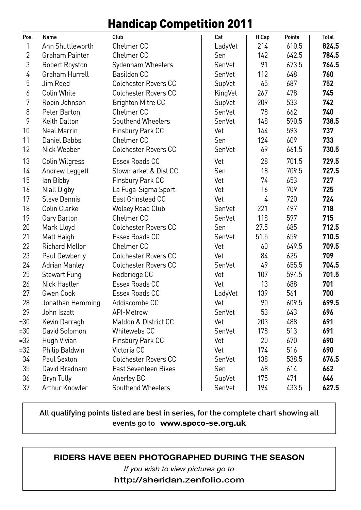### Handicap Competition 2011

| Pos.           | Name                  | Club                        | Cat     | H'Cap | Points | Total |
|----------------|-----------------------|-----------------------------|---------|-------|--------|-------|
| 1              | Ann Shuttleworth      | Chelmer <sub>CC</sub>       | LadyVet | 214   | 610.5  | 824.5 |
| $\overline{2}$ | Graham Painter        | Chelmer <sub>CC</sub>       | Sen     | 142   | 642.5  | 784.5 |
| 3              | Robert Royston        | Sydenham Wheelers           | SenVet  | 91    | 673.5  | 764.5 |
| 4              | Graham Hurrell        | <b>Basildon CC</b>          | SenVet  | 112   | 648    | 760   |
| 5              | Jim Reed              | <b>Colchester Rovers CC</b> | SupVet  | 65    | 687    | 752   |
| 6              | Colin White           | <b>Colchester Rovers CC</b> | KingVet | 267   | 478    | 745   |
| 7              | Robin Johnson         | <b>Brighton Mitre CC</b>    | SupVet  | 209   | 533    | 742   |
| 8              | Peter Barton          | Chelmer <sub>CC</sub>       | SenVet  | 78    | 662    | 740   |
| 9              | <b>Keith Dalton</b>   | Southend Wheelers           | SenVet  | 148   | 590.5  | 738.5 |
| 10             | <b>Neal Marrin</b>    | Finsbury Park CC            | Vet     | 144   | 593    | 737   |
| 11             | Daniel Babbs          | Chelmer <sub>CC</sub>       | Sen     | 124   | 609    | 733   |
| 12             | Nick Webber           | <b>Colchester Rovers CC</b> | SenVet  | 69    | 661.5  | 730.5 |
| 13             | Colin Wilgress        | Essex Roads CC              | Vet     | 28    | 701.5  | 729.5 |
| 14             | Andrew Leggett        | Stowmarket & Dist CC        | Sen     | 18    | 709.5  | 727.5 |
| 15             | lan Bibby             | Finsbury Park CC            | Vet     | 74    | 653    | 727   |
| 16             | Niall Digby           | La Fuga-Sigma Sport         | Vet     | 16    | 709    | 725   |
| 17             | <b>Steve Dennis</b>   | East Grinstead CC           | Vet     | 4     | 720    | 724   |
| 18             | Colin Clarke          | <b>Wolsey Road Club</b>     | SenVet  | 221   | 497    | 718   |
| 19             | Gary Barton           | Chelmer CC                  | SenVet  | 118   | 597    | 715   |
| 20             | Mark Lloyd            | <b>Colchester Rovers CC</b> | Sen     | 27.5  | 685    | 712.5 |
| 21             | Matt Haigh            | Essex Roads CC              | SenVet  | 51.5  | 659    | 710.5 |
| 22             | <b>Richard Mellor</b> | Chelmer <sub>CC</sub>       | Vet     | 60    | 649.5  | 709.5 |
| 23             | Paul Dewberry         | <b>Colchester Rovers CC</b> | Vet     | 84    | 625    | 709   |
| 24             | <b>Adrian Manley</b>  | <b>Colchester Rovers CC</b> | SenVet  | 49    | 655.5  | 704.5 |
| 25             | Stewart Fung          | Redbridge CC                | Vet     | 107   | 594.5  | 701.5 |
| 26             | <b>Nick Hastler</b>   | Essex Roads CC              | Vet     | 13    | 688    | 701   |
| 27             | Gwen Cook             | Essex Roads CC              | LadyVet | 139   | 561    | 700   |
| 28             | Jonathan Hemming      | Addiscombe CC               | Vet     | 90    | 609.5  | 699.5 |
| 29             | John Iszatt           | API-Metrow                  | SenVet  | 53    | 643    | 696   |
| $= 30$         | Kevin Darragh         | Maldon & District CC        | Vet     | 203   | 488    | 691   |
| $=30$          | David Solomon         | Whitewebs CC                | SenVet  | 178   | 513    | 691   |
| $=32$          | Hugh Vivian           | Finsbury Park CC            | Vet     | 20    | 670    | 690   |
| $=32$          | Philip Baldwin        | Victoria CC                 | Vet     | 174   | 516    | 690   |
| 34             | Paul Sexton           | <b>Colchester Rovers CC</b> | SenVet  | 138   | 538.5  | 676.5 |
| 35             | David Bradnam         | <b>East Seventeen Bikes</b> | Sen     | 48    | 614    | 662   |
| 36             | <b>Bryn Tully</b>     | Anerley BC                  | SupVet  | 175   | 471    | 646   |
| 37             | Arthur Knowler        | Southend Wheelers           | SenVet  | 194   | 433.5  | 627.5 |

#### All qualifying points listed are best in series, for the complete chart showing all events go to **www.spoco-se.org.uk**

### **RIDERS HAVE BEEN PHOTOGRAPHED DURING THE SEASON**

*If you wish to view pictures go to*

**http://sheridan.zenfolio.com**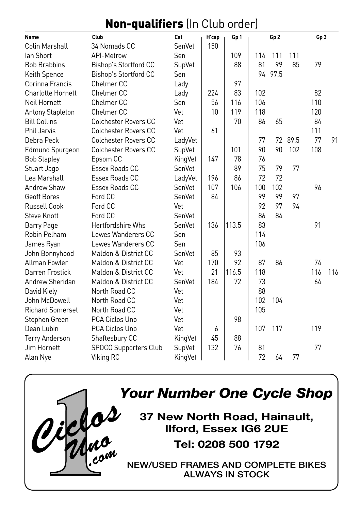## Non-qualifiers (In Club order)

| Name                     | Club                        | Cat     | H'cap | Gp 1  |     | Gp <sub>2</sub> |      | Gp <sub>3</sub> |     |
|--------------------------|-----------------------------|---------|-------|-------|-----|-----------------|------|-----------------|-----|
| <b>Colin Marshall</b>    | 34 Nomads CC                | SenVet  | 150   |       |     |                 |      |                 |     |
| lan Short                | API-Metrow                  | Sen     |       | 109   | 114 | 111             | 111  |                 |     |
| <b>Bob Brabbins</b>      | Bishop's Stortford CC       | SupVet  |       | 88    | 81  | 99              | 85   | 79              |     |
| Keith Spence             | Bishop's Stortford CC       | Sen     |       |       | 94  | 97.5            |      |                 |     |
| Corinna Francis          | Chelmer <sub>CC</sub>       | Lady    |       | 97    |     |                 |      |                 |     |
| <b>Charlotte Hornett</b> | Chelmer <sub>CC</sub>       | Lady    | 224   | 83    | 102 |                 |      | 82              |     |
| Neil Hornett             | Chelmer <sub>CC</sub>       | Sen     | 56    | 116   | 106 |                 |      | 110             |     |
| <b>Antony Stapleton</b>  | Chelmer <sub>CC</sub>       | Vet     | 10    | 119   | 118 |                 |      | 120             |     |
| <b>Bill Collins</b>      | <b>Colchester Rovers CC</b> | Vet     |       | 70    | 86  | 65              |      | 84              |     |
| <b>Phil Jarvis</b>       | <b>Colchester Rovers CC</b> | Vet     | 61    |       |     |                 |      | 111             |     |
| Debra Peck               | <b>Colchester Rovers CC</b> | LadyVet |       |       | 77  | 72              | 89.5 | 77              | 91  |
| <b>Edmund Spurgeon</b>   | Colchester Rovers CC        | SupVet  |       | 101   | 90  | 90              | 102  | 108             |     |
| <b>Bob Stapley</b>       | Epsom CC                    | KingVet | 147   | 78    | 76  |                 |      |                 |     |
| Stuart Jago              | Essex Roads CC              | SenVet  |       | 89    | 75  | 79              | 77   |                 |     |
| Lea Marshall             | Essex Roads CC              | LadyVet | 196   | 86    | 72  | 72              |      |                 |     |
| Andrew Shaw              | Essex Roads CC              | SenVet  | 107   | 106   | 100 | 102             |      | 96              |     |
| Geoff Bores              | Ford CC                     | SenVet  | 84    |       | 99  | 99              | 97   |                 |     |
| <b>Russell Cook</b>      | Ford CC                     | Vet     |       |       | 92  | 97              | 94   |                 |     |
| <b>Steve Knott</b>       | Ford CC                     | SenVet  |       |       | 86  | 84              |      |                 |     |
| <b>Barry Page</b>        | Hertfordshire Whs           | SenVet  | 136   | 113.5 | 83  |                 |      | 91              |     |
| Robin Pelham             | Lewes Wanderers CC          | Sen     |       |       | 114 |                 |      |                 |     |
| James Ryan               | Lewes Wanderers CC          | Sen     |       |       | 106 |                 |      |                 |     |
| John Bonnyhood           | Maldon & District CC        | SenVet  | 85    | 93    |     |                 |      |                 |     |
| Allman Fowler            | Maldon & District CC        | Vet     | 170   | 92    | 87  | 86              |      | 74              |     |
| Darren Frostick          | Maldon & District CC        | Vet     | 21    | 116.5 | 118 |                 |      | 116             | 116 |
| Andrew Sheridan          | Maldon & District CC        | SenVet  | 184   | 72    | 73  |                 |      | 64              |     |
| David Kiely              | North Road CC               | Vet     |       |       | 88  |                 |      |                 |     |
| John McDowell            | North Road CC               | Vet     |       |       | 102 | 104             |      |                 |     |
| <b>Richard Somerset</b>  | North Road CC               | Vet     |       |       | 105 |                 |      |                 |     |
| Stephen Green            | PCA Ciclos Uno              | Vet     |       | 98    |     |                 |      |                 |     |
| Dean Lubin               | PCA Ciclos Uno              | Vet     | 6     |       | 107 | 117             |      | 119             |     |
| <b>Terry Anderson</b>    | Shaftesbury CC              | KingVet | 45    | 88    |     |                 |      |                 |     |
| Jim Hornett              | SPOCO Supporters Club       | SupVet  | 132   | 76    | 81  |                 |      | 77              |     |
| Alan Nye                 | Viking RC                   | KingVet |       |       | 72  | 64              | 77   |                 |     |



*Your Number One Cycle Shop*<br>37 New North Road, Hainault,<br>Ilford, Essex IG6 2UE **37 New North Road, Hainault, Ilford, Essex IG6 2UE Tel: 0208 500 1792**

> **NEW/USED FRAMES AND COMPLETE BIKES ALWAYS IN STOCK**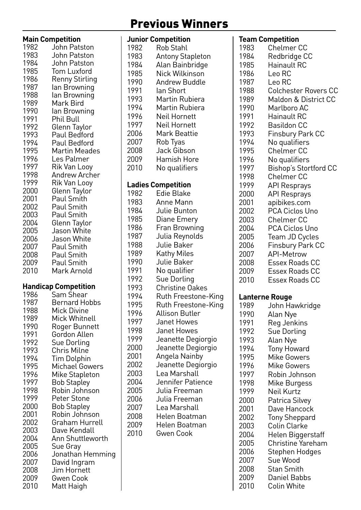## Previous Winners

|              | <b>Main Competition</b>        |
|--------------|--------------------------------|
| 1982         | John Patston                   |
|              |                                |
| 1983         | John Patston                   |
| 1984         | John Patston                   |
| 1985         | Tom Luxford                    |
|              |                                |
| 1986         | Renny Stirling                 |
| 1987         | lan Browning                   |
|              |                                |
| 1988         | lan Browning                   |
| 1989         | Mark Bird                      |
| 1990         | lan Browning                   |
|              |                                |
| 1991         | Phil Bull                      |
| 1992         | Glenn Taylor                   |
|              |                                |
| 1993         | Paul Bedford                   |
| 1994         | Paul Bedford                   |
| 1995         | Martin Meades                  |
|              |                                |
| 1996         | Les Palmer                     |
| 1997         | Rik Van Looy                   |
| 1998         | Andrew Archer                  |
|              |                                |
| 1999         | Rik Van Looy                   |
| 2000         | Glenn Taylor                   |
|              |                                |
| 2001         | Paul Smith                     |
| 2002         | Paul Smith                     |
| 2003         | Paul Smith                     |
|              |                                |
| 2004         | Glenn Taylor                   |
| 2005         | Jason White                    |
| 2006         | Jason White                    |
|              |                                |
| 2007         | Paul Smith                     |
| 2008         |                                |
|              |                                |
|              | Paul Smith                     |
| 2009         | Paul Smith                     |
| 2010         | Mark Arnold                    |
|              |                                |
|              |                                |
|              | <b>Handicap Competition</b>    |
| 1986         | Sam Shear                      |
| 1987         |                                |
|              | <b>Bernard Hobbs</b>           |
| 1988         | Mick Divine                    |
| 1989         | Mick Whitnell                  |
| 1990         |                                |
|              | Roger Bunnett                  |
| 1991         | Gordon Allen                   |
| 1992         | Sue Dorling                    |
|              |                                |
| 1993         | Chris Milne                    |
| 1994         | <b>Tim Dolphin</b>             |
| 1995         | Michael Gowers                 |
| 1996         |                                |
|              | Mike Stapleton                 |
| 1997         | <b>Bob Stapley</b>             |
| 1998         | Robin Johnson                  |
|              |                                |
| 1999         | Peter Stone                    |
| 2000         | Bob Stapley                    |
| 2001         | Robin Johnson                  |
| 2002         | Graham Hurrell                 |
|              |                                |
| 2003         | Dave Kendall                   |
| 2004         | Ann Shuttleworth               |
| 2005         | Sue Gray                       |
|              |                                |
| 2006         | Jonathan Hemming               |
| 2007         | David Ingram                   |
| 2008         | Jim Hornett                    |
|              |                                |
| 2009<br>2010 | <b>Gwen Cook</b><br>Matt Haigh |

|      | <b>Junior Competition</b> |
|------|---------------------------|
| 1982 | Rob Stahl                 |
| 1983 | <b>Antony Stapleton</b>   |
| 1984 | Alan Bainbridge           |
| 1985 | Nick Wilkinson            |
| 1990 | Andrew Buddle             |
| 1991 | lan Short                 |
| 1993 | Martin Rubiera            |
| 1994 | Martin Rubiera            |
|      |                           |
| 1996 | Neil Hornett              |
| 1997 | Neil Hornett              |
| 2006 | Mark Beattie              |
| 2007 | Rob Tyas                  |
| 2008 | Jack Gibson               |
| 2009 | Hamish Hore               |
| 2010 | No qualifiers             |
|      |                           |
|      | <b>Ladies Competition</b> |
| 1982 | Edie Blake                |
| 1983 | Anne Mann                 |
| 1984 | Julie Bunton              |
|      |                           |
| 1985 | Diane Emery               |
| 1986 | Fran Browning             |
| 1987 | Julia Reynolds            |
| 1988 | Julie Baker               |
| 1989 | Kathy Miles               |
| 1990 | Julie Baker               |
| 1991 | No qualifier              |
| 1992 | Sue Dorling               |
| 1993 | Christine Oakes           |
| 1994 | Ruth Freestone-King       |
| 1995 | Ruth Freestone-King       |
| 1996 | Allison Butler            |
| 1997 | Janet Howes               |
| 1998 |                           |
| 1999 | Janet Howes               |
|      | Jeanette Degiorgio        |
| 2000 | Jeanette Degiorgio        |
| 2001 | Angela Nainby             |
| 2002 | Jeanette Degiorgio        |
| 2003 | Lea Marshall              |
| 2004 | Jennifer Patience         |
| 2005 | Julia Freeman             |
| 2006 | Julia Freeman             |
| 2007 | Lea Marshall              |
| 2008 | Helen Boatman             |
| 2009 | Helen Boatman             |
| 2010 | Gwen Cook                 |
|      |                           |
|      |                           |
|      |                           |
|      |                           |
|      |                           |

|      | Team Competition            |
|------|-----------------------------|
| 1983 | Chelmer CC                  |
| 1984 | Redbridge CC                |
| 1985 | Hainault RC                 |
| 1986 | Leo RC                      |
| 1987 | Leo RC                      |
| 1988 | <b>Colchester Rovers CC</b> |
| 1989 | Maldon & District CC        |
| 1990 |                             |
|      | Marlboro AC                 |
| 1991 | Hainault RC                 |
| 1992 | Basildon CC                 |
| 1993 | <b>Finsbury Park CC</b>     |
| 1994 | No qualifiers               |
| 1995 | <b>Chelmer CC</b>           |
| 1996 | No qualifiers               |
| 1997 | Bishop's Stortford CC       |
| 1998 | <b>Chelmer CC</b>           |
| 1999 | API Resprays                |
| 2000 | <b>API Resprays</b>         |
| 2001 | apibikes.com                |
| 2002 | PCA Ciclos Uno              |
| 2003 | Chelmer CC                  |
| 2004 | PCA Ciclos Uno              |
| 2005 | Team JD Cycles              |
|      |                             |
| 2006 | <b>Finsbury Park CC</b>     |
| 2007 | <b>API-Metrow</b>           |
| 2008 | <b>Essex Roads CC</b>       |
| 2009 | Essex Roads CC              |
| 2010 | Essex Roads CC              |
|      | Lanterne Rouge              |
| 1989 | John Hawkridge              |
| 1990 | Alan Nye                    |
| 1991 |                             |
|      | Reg Jenkins                 |
| 1992 | Sue Dorling                 |
| 1993 | Alan Nye                    |
| 1994 | Tony Howard                 |
| 1995 | <b>Mike Gowers</b>          |
| 1996 | Mike Gowers                 |
| 1997 | Robin Johnson               |
| 1998 | Mike Burgess                |
| 1999 | Neil Kurtz                  |
| 2000 | Patrica Silvey              |
| 2001 | Dave Hancock                |
| 2002 | <b>Tony Sheppard</b>        |
| 2003 | Colin Clarke                |
| 2004 | Helen Biggerstaff           |
| 2005 | Christine Yareham           |
| 2006 | Stephen Hodges              |
| 2007 | Sue Wood                    |
| 2008 | Stan Smith                  |
| 2009 | Daniel Babbs                |
|      |                             |
| 2010 | Colin White                 |